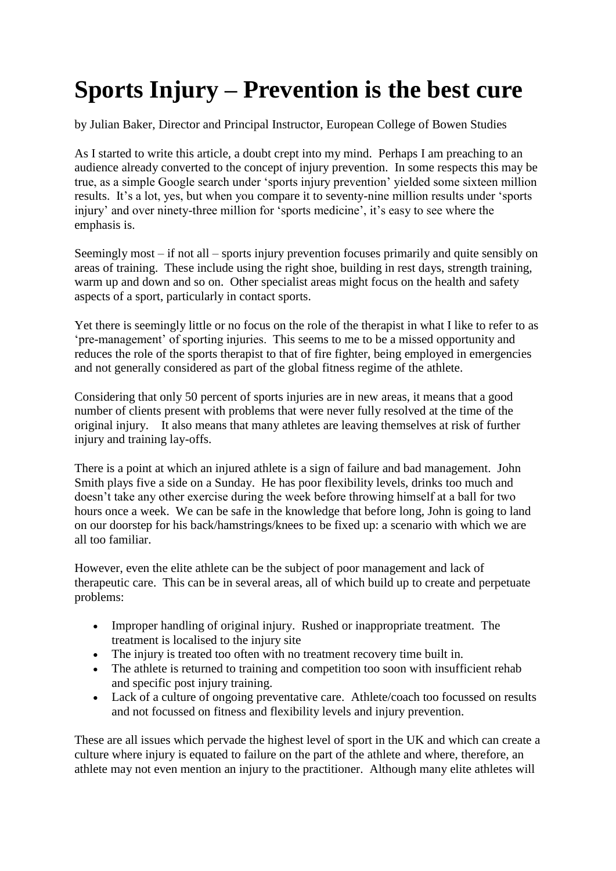## **Sports Injury – Prevention is the best cure**

by Julian Baker, Director and Principal Instructor, European College of Bowen Studies

As I started to write this article, a doubt crept into my mind. Perhaps I am preaching to an audience already converted to the concept of injury prevention. In some respects this may be true, as a simple Google search under 'sports injury prevention' yielded some sixteen million results. It's a lot, yes, but when you compare it to seventy-nine million results under 'sports injury' and over ninety-three million for 'sports medicine', it's easy to see where the emphasis is.

Seemingly most – if not all – sports injury prevention focuses primarily and quite sensibly on areas of training. These include using the right shoe, building in rest days, strength training, warm up and down and so on. Other specialist areas might focus on the health and safety aspects of a sport, particularly in contact sports.

Yet there is seemingly little or no focus on the role of the therapist in what I like to refer to as 'pre-management' of sporting injuries. This seems to me to be a missed opportunity and reduces the role of the sports therapist to that of fire fighter, being employed in emergencies and not generally considered as part of the global fitness regime of the athlete.

Considering that only 50 percent of sports injuries are in new areas, it means that a good number of clients present with problems that were never fully resolved at the time of the original injury. It also means that many athletes are leaving themselves at risk of further injury and training lay-offs.

There is a point at which an injured athlete is a sign of failure and bad management. John Smith plays five a side on a Sunday. He has poor flexibility levels, drinks too much and doesn't take any other exercise during the week before throwing himself at a ball for two hours once a week. We can be safe in the knowledge that before long, John is going to land on our doorstep for his back/hamstrings/knees to be fixed up: a scenario with which we are all too familiar.

However, even the elite athlete can be the subject of poor management and lack of therapeutic care. This can be in several areas, all of which build up to create and perpetuate problems:

- Improper handling of original injury. Rushed or inappropriate treatment. The treatment is localised to the injury site
- The injury is treated too often with no treatment recovery time built in.
- The athlete is returned to training and competition too soon with insufficient rehab and specific post injury training.
- Lack of a culture of ongoing preventative care. Athlete/coach too focussed on results and not focussed on fitness and flexibility levels and injury prevention.

These are all issues which pervade the highest level of sport in the UK and which can create a culture where injury is equated to failure on the part of the athlete and where, therefore, an athlete may not even mention an injury to the practitioner. Although many elite athletes will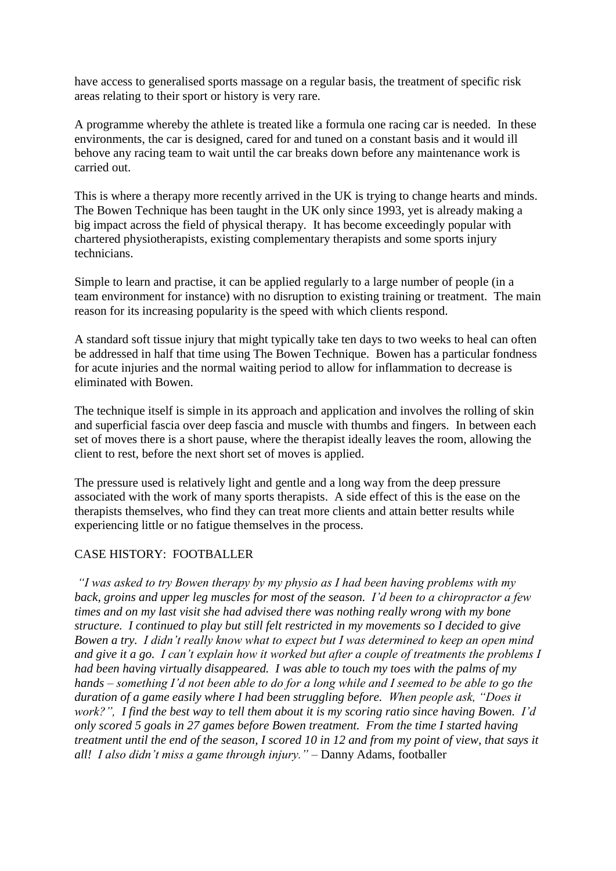have access to generalised sports massage on a regular basis, the treatment of specific risk areas relating to their sport or history is very rare.

A programme whereby the athlete is treated like a formula one racing car is needed. In these environments, the car is designed, cared for and tuned on a constant basis and it would ill behove any racing team to wait until the car breaks down before any maintenance work is carried out.

This is where a therapy more recently arrived in the UK is trying to change hearts and minds. The Bowen Technique has been taught in the UK only since 1993, yet is already making a big impact across the field of physical therapy. It has become exceedingly popular with chartered physiotherapists, existing complementary therapists and some sports injury technicians.

Simple to learn and practise, it can be applied regularly to a large number of people (in a team environment for instance) with no disruption to existing training or treatment. The main reason for its increasing popularity is the speed with which clients respond.

A standard soft tissue injury that might typically take ten days to two weeks to heal can often be addressed in half that time using The Bowen Technique. Bowen has a particular fondness for acute injuries and the normal waiting period to allow for inflammation to decrease is eliminated with Bowen.

The technique itself is simple in its approach and application and involves the rolling of skin and superficial fascia over deep fascia and muscle with thumbs and fingers. In between each set of moves there is a short pause, where the therapist ideally leaves the room, allowing the client to rest, before the next short set of moves is applied.

The pressure used is relatively light and gentle and a long way from the deep pressure associated with the work of many sports therapists. A side effect of this is the ease on the therapists themselves, who find they can treat more clients and attain better results while experiencing little or no fatigue themselves in the process.

## CASE HISTORY: FOOTBALLER

*"I was asked to try Bowen therapy by my physio as I had been having problems with my back, groins and upper leg muscles for most of the season. I'd been to a chiropractor a few times and on my last visit she had advised there was nothing really wrong with my bone structure. I continued to play but still felt restricted in my movements so I decided to give Bowen a try. I didn't really know what to expect but I was determined to keep an open mind and give it a go. I can't explain how it worked but after a couple of treatments the problems I had been having virtually disappeared. I was able to touch my toes with the palms of my hands – something I'd not been able to do for a long while and I seemed to be able to go the duration of a game easily where I had been struggling before. When people ask, "Does it work?", I find the best way to tell them about it is my scoring ratio since having Bowen. I'd only scored 5 goals in 27 games before Bowen treatment. From the time I started having treatment until the end of the season, I scored 10 in 12 and from my point of view, that says it all! I also didn't miss a game through injury."* – Danny Adams, footballer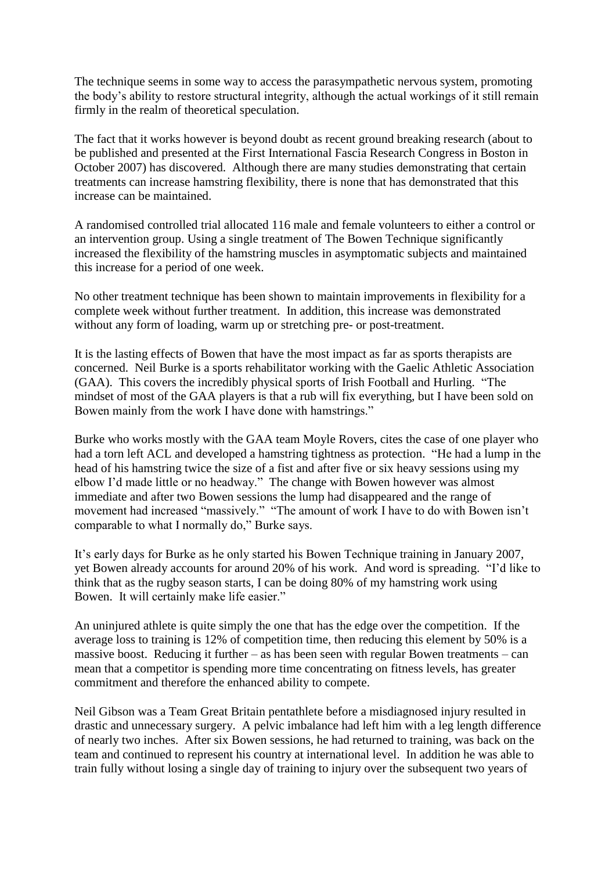The technique seems in some way to access the parasympathetic nervous system, promoting the body's ability to restore structural integrity, although the actual workings of it still remain firmly in the realm of theoretical speculation.

The fact that it works however is beyond doubt as recent ground breaking research (about to be published and presented at the First International Fascia Research Congress in Boston in October 2007) has discovered. Although there are many studies demonstrating that certain treatments can increase hamstring flexibility, there is none that has demonstrated that this increase can be maintained.

A randomised controlled trial allocated 116 male and female volunteers to either a control or an intervention group. Using a single treatment of The Bowen Technique significantly increased the flexibility of the hamstring muscles in asymptomatic subjects and maintained this increase for a period of one week.

No other treatment technique has been shown to maintain improvements in flexibility for a complete week without further treatment. In addition, this increase was demonstrated without any form of loading, warm up or stretching pre- or post-treatment.

It is the lasting effects of Bowen that have the most impact as far as sports therapists are concerned. Neil Burke is a sports rehabilitator working with the Gaelic Athletic Association (GAA). This covers the incredibly physical sports of Irish Football and Hurling. "The mindset of most of the GAA players is that a rub will fix everything, but I have been sold on Bowen mainly from the work I have done with hamstrings."

Burke who works mostly with the GAA team Moyle Rovers, cites the case of one player who had a torn left ACL and developed a hamstring tightness as protection. "He had a lump in the head of his hamstring twice the size of a fist and after five or six heavy sessions using my elbow I'd made little or no headway." The change with Bowen however was almost immediate and after two Bowen sessions the lump had disappeared and the range of movement had increased "massively." "The amount of work I have to do with Bowen isn't comparable to what I normally do," Burke says.

It's early days for Burke as he only started his Bowen Technique training in January 2007, yet Bowen already accounts for around 20% of his work. And word is spreading. "I'd like to think that as the rugby season starts, I can be doing 80% of my hamstring work using Bowen. It will certainly make life easier."

An uninjured athlete is quite simply the one that has the edge over the competition. If the average loss to training is 12% of competition time, then reducing this element by 50% is a massive boost. Reducing it further – as has been seen with regular Bowen treatments – can mean that a competitor is spending more time concentrating on fitness levels, has greater commitment and therefore the enhanced ability to compete.

Neil Gibson was a Team Great Britain pentathlete before a misdiagnosed injury resulted in drastic and unnecessary surgery. A pelvic imbalance had left him with a leg length difference of nearly two inches. After six Bowen sessions, he had returned to training, was back on the team and continued to represent his country at international level. In addition he was able to train fully without losing a single day of training to injury over the subsequent two years of